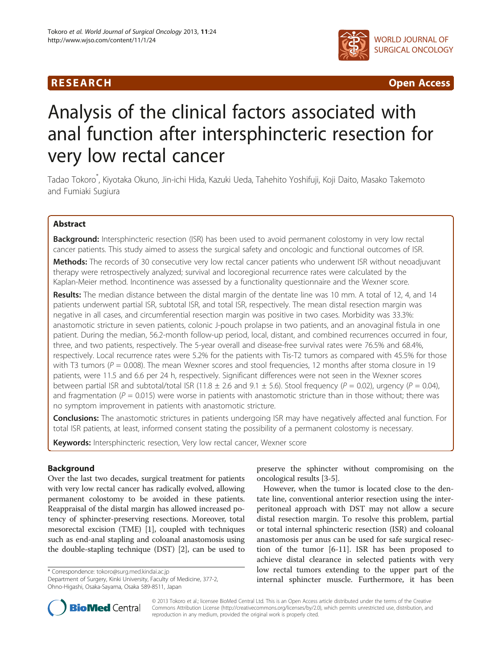# R E S EAR CH Open Access



# Analysis of the clinical factors associated with anal function after intersphincteric resection for very low rectal cancer

Tadao Tokoro\* , Kiyotaka Okuno, Jin-ichi Hida, Kazuki Ueda, Tahehito Yoshifuji, Koji Daito, Masako Takemoto and Fumiaki Sugiura

# Abstract

Background: Intersphincteric resection (ISR) has been used to avoid permanent colostomy in very low rectal cancer patients. This study aimed to assess the surgical safety and oncologic and functional outcomes of ISR.

Methods: The records of 30 consecutive very low rectal cancer patients who underwent ISR without neoadjuvant therapy were retrospectively analyzed; survival and locoregional recurrence rates were calculated by the Kaplan-Meier method. Incontinence was assessed by a functionality questionnaire and the Wexner score.

Results: The median distance between the distal margin of the dentate line was 10 mm. A total of 12, 4, and 14 patients underwent partial ISR, subtotal ISR, and total ISR, respectively. The mean distal resection margin was negative in all cases, and circumferential resection margin was positive in two cases. Morbidity was 33.3%: anastomotic stricture in seven patients, colonic J-pouch prolapse in two patients, and an anovaginal fistula in one patient. During the median, 56.2-month follow-up period, local, distant, and combined recurrences occurred in four, three, and two patients, respectively. The 5-year overall and disease-free survival rates were 76.5% and 68.4%, respectively. Local recurrence rates were 5.2% for the patients with Tis-T2 tumors as compared with 45.5% for those with T3 tumors ( $P = 0.008$ ). The mean Wexner scores and stool frequencies, 12 months after stoma closure in 19 patients, were 11.5 and 6.6 per 24 h, respectively. Significant differences were not seen in the Wexner scores between partial ISR and subtotal/total ISR (11.8  $\pm$  2.6 and 9.1  $\pm$  5.6). Stool frequency (P = 0.02), urgency (P = 0.04), and fragmentation ( $P = 0.015$ ) were worse in patients with anastomotic stricture than in those without; there was no symptom improvement in patients with anastomotic stricture.

**Conclusions:** The anastomotic strictures in patients undergoing ISR may have negatively affected anal function. For total ISR patients, at least, informed consent stating the possibility of a permanent colostomy is necessary.

Keywords: Intersphincteric resection, Very low rectal cancer, Wexner score

# Background

Over the last two decades, surgical treatment for patients with very low rectal cancer has radically evolved, allowing permanent colostomy to be avoided in these patients. Reappraisal of the distal margin has allowed increased potency of sphincter-preserving resections. Moreover, total mesorectal excision (TME) [\[1](#page-6-0)], coupled with techniques such as end-anal stapling and coloanal anastomosis using the double-stapling technique (DST) [[2](#page-6-0)], can be used to

\* Correspondence: [tokoro@surg.med.kindai.ac.jp](mailto:tokoro@surg.med.kindai.ac.jp)

Department of Surgery, Kinki University, Faculty of Medicine, 377-2, Ohno-Higashi, Osaka-Sayama, Osaka 589-8511, Japan



However, when the tumor is located close to the dentate line, conventional anterior resection using the interperitoneal approach with DST may not allow a secure distal resection margin. To resolve this problem, partial or total internal sphincteric resection (ISR) and coloanal anastomosis per anus can be used for safe surgical resection of the tumor [\[6](#page-6-0)-[11\]](#page-7-0). ISR has been proposed to achieve distal clearance in selected patients with very low rectal tumors extending to the upper part of the internal sphincter muscle. Furthermore, it has been



© 2013 Tokoro et al.; licensee BioMed Central Ltd. This is an Open Access article distributed under the terms of the Creative Commons Attribution License [\(http://creativecommons.org/licenses/by/2.0\)](http://creativecommons.org/licenses/by/2.0), which permits unrestricted use, distribution, and reproduction in any medium, provided the original work is properly cited.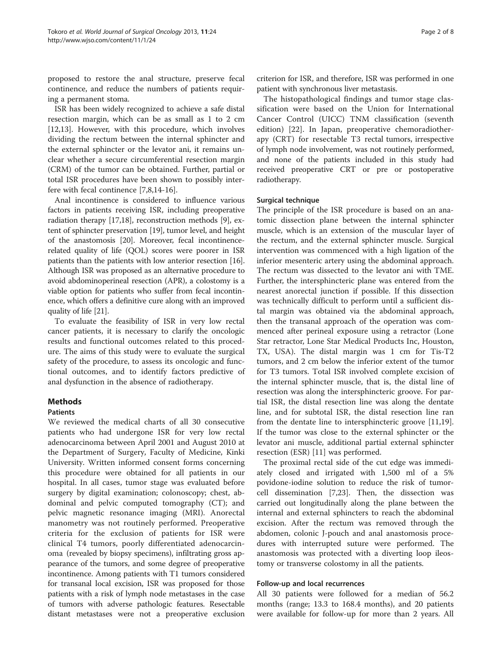proposed to restore the anal structure, preserve fecal continence, and reduce the numbers of patients requiring a permanent stoma.

ISR has been widely recognized to achieve a safe distal resection margin, which can be as small as 1 to 2 cm [[12,13\]](#page-7-0). However, with this procedure, which involves dividing the rectum between the internal sphincter and the external sphincter or the levator ani, it remains unclear whether a secure circumferential resection margin (CRM) of the tumor can be obtained. Further, partial or total ISR procedures have been shown to possibly interfere with fecal continence [\[7,8](#page-6-0)[,14](#page-7-0)-[16\]](#page-7-0).

Anal incontinence is considered to influence various factors in patients receiving ISR, including preoperative radiation therapy [\[17,18](#page-7-0)], reconstruction methods [[9](#page-6-0)], extent of sphincter preservation [\[19](#page-7-0)], tumor level, and height of the anastomosis [\[20\]](#page-7-0). Moreover, fecal incontinencerelated quality of life (QOL) scores were poorer in ISR patients than the patients with low anterior resection [[16](#page-7-0)]. Although ISR was proposed as an alternative procedure to avoid abdominoperineal resection (APR), a colostomy is a viable option for patients who suffer from fecal incontinence, which offers a definitive cure along with an improved quality of life [[21](#page-7-0)].

To evaluate the feasibility of ISR in very low rectal cancer patients, it is necessary to clarify the oncologic results and functional outcomes related to this procedure. The aims of this study were to evaluate the surgical safety of the procedure, to assess its oncologic and functional outcomes, and to identify factors predictive of anal dysfunction in the absence of radiotherapy.

# **Methods**

# Patients

We reviewed the medical charts of all 30 consecutive patients who had undergone ISR for very low rectal adenocarcinoma between April 2001 and August 2010 at the Department of Surgery, Faculty of Medicine, Kinki University. Written informed consent forms concerning this procedure were obtained for all patients in our hospital. In all cases, tumor stage was evaluated before surgery by digital examination; colonoscopy; chest, abdominal and pelvic computed tomography (CT); and pelvic magnetic resonance imaging (MRI). Anorectal manometry was not routinely performed. Preoperative criteria for the exclusion of patients for ISR were clinical T4 tumors, poorly differentiated adenocarcinoma (revealed by biopsy specimens), infiltrating gross appearance of the tumors, and some degree of preoperative incontinence. Among patients with T1 tumors considered for transanal local excision, ISR was proposed for those patients with a risk of lymph node metastases in the case of tumors with adverse pathologic features. Resectable distant metastases were not a preoperative exclusion criterion for ISR, and therefore, ISR was performed in one patient with synchronous liver metastasis.

The histopathological findings and tumor stage classification were based on the Union for International Cancer Control (UICC) TNM classification (seventh edition) [[22\]](#page-7-0). In Japan, preoperative chemoradiotherapy (CRT) for resectable T3 rectal tumors, irrespective of lymph node involvement, was not routinely performed, and none of the patients included in this study had received preoperative CRT or pre or postoperative radiotherapy.

### Surgical technique

The principle of the ISR procedure is based on an anatomic dissection plane between the internal sphincter muscle, which is an extension of the muscular layer of the rectum, and the external sphincter muscle. Surgical intervention was commenced with a high ligation of the inferior mesenteric artery using the abdominal approach. The rectum was dissected to the levator ani with TME. Further, the intersphincteric plane was entered from the nearest anorectal junction if possible. If this dissection was technically difficult to perform until a sufficient distal margin was obtained via the abdominal approach, then the transanal approach of the operation was commenced after perineal exposure using a retractor (Lone Star retractor, Lone Star Medical Products Inc, Houston, TX, USA). The distal margin was 1 cm for Tis-T2 tumors, and 2 cm below the inferior extent of the tumor for T3 tumors. Total ISR involved complete excision of the internal sphincter muscle, that is, the distal line of resection was along the intersphincteric groove. For partial ISR, the distal resection line was along the dentate line, and for subtotal ISR, the distal resection line ran from the dentate line to intersphincteric groove [\[11,19](#page-7-0)]. If the tumor was close to the external sphincter or the levator ani muscle, additional partial external sphincter resection (ESR) [[11\]](#page-7-0) was performed.

The proximal rectal side of the cut edge was immediately closed and irrigated with 1,500 ml of a 5% povidone-iodine solution to reduce the risk of tumorcell dissemination [[7,](#page-6-0)[23\]](#page-7-0). Then, the dissection was carried out longitudinally along the plane between the internal and external sphincters to reach the abdominal excision. After the rectum was removed through the abdomen, colonic J-pouch and anal anastomosis procedures with interrupted suture were performed. The anastomosis was protected with a diverting loop ileostomy or transverse colostomy in all the patients.

#### Follow-up and local recurrences

All 30 patients were followed for a median of 56.2 months (range; 13.3 to 168.4 months), and 20 patients were available for follow-up for more than 2 years. All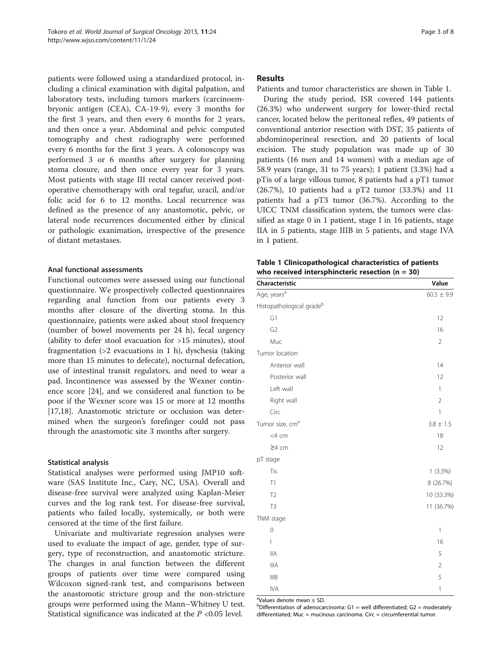patients were followed using a standardized protocol, including a clinical examination with digital palpation, and laboratory tests, including tumors markers (carcinoembryonic antigen (CEA), CA-19-9), every 3 months for the first 3 years, and then every 6 months for 2 years, and then once a year. Abdominal and pelvic computed tomography and chest radiography were performed every 6 months for the first 3 years. A colonoscopy was performed 3 or 6 months after surgery for planning stoma closure, and then once every year for 3 years. Most patients with stage III rectal cancer received postoperative chemotherapy with oral tegafur, uracil, and/or folic acid for 6 to 12 months. Local recurrence was defined as the presence of any anastomotic, pelvic, or lateral node recurrences documented either by clinical or pathologic exanimation, irrespective of the presence of distant metastases.

# Anal functional assessments

Functional outcomes were assessed using our functional questionnaire. We prospectively collected questionnaires regarding anal function from our patients every 3 months after closure of the diverting stoma. In this questionnaire, patients were asked about stool frequency (number of bowel movements per 24 h), fecal urgency (ability to defer stool evacuation for >15 minutes), stool fragmentation (>2 evacuations in 1 h), dyschesia (taking more than 15 minutes to defecate), nocturnal defecation, use of intestinal transit regulators, and need to wear a pad. Incontinence was assessed by the Wexner continence score [[24\]](#page-7-0), and we considered anal function to be poor if the Wexner score was 15 or more at 12 months [[17,18\]](#page-7-0). Anastomotic stricture or occlusion was determined when the surgeon's forefinger could not pass through the anastomotic site 3 months after surgery.

### Statistical analysis

Statistical analyses were performed using JMP10 software (SAS Institute Inc., Cary, NC, USA). Overall and disease-free survival were analyzed using Kaplan-Meier curves and the log rank test. For disease-free survival, patients who failed locally, systemically, or both were censored at the time of the first failure.

Univariate and multivariate regression analyses were used to evaluate the impact of age, gender, type of surgery, type of reconstruction, and anastomotic stricture. The changes in anal function between the different groups of patients over time were compared using Wilcoxon signed-rank test, and comparisons between the anastomotic stricture group and the non-stricture groups were performed using the Mann–Whitney U test. Statistical significance was indicated at the  $P < 0.05$  level.

### Results

Patients and tumor characteristics are shown in Table 1.

During the study period, ISR covered 144 patients (26.3%) who underwent surgery for lower-third rectal cancer, located below the peritoneal reflex, 49 patients of conventional anterior resection with DST, 35 patients of abdominoperineal resection, and 20 patients of local excision. The study population was made up of 30 patients (16 men and 14 women) with a median age of 58.9 years (range, 31 to 75 years); 1 patient (3.3%) had a pTis of a large villous tumor, 8 patients had a pT1 tumor (26.7%), 10 patients had a pT2 tumor (33.3%) and 11 patients had a pT3 tumor (36.7%). According to the UICC TNM classification system, the tumors were classified as stage 0 in 1 patient, stage I in 16 patients, stage IIA in 5 patients, stage IIIB in 5 patients, and stage IVA in 1 patient.

| Table 1 Clinicopathological characteristics of patients |  |
|---------------------------------------------------------|--|
| who received intersphincteric resection $(n = 30)$      |  |

| Characteristic                       | Value          |
|--------------------------------------|----------------|
| Age, years <sup>a</sup>              | $60.5 \pm 9.9$ |
| Histopathological grade <sup>b</sup> |                |
| G1                                   | 12             |
| G <sub>2</sub>                       | 16             |
| Muc                                  | $\overline{2}$ |
| Tumor location                       |                |
| Anterior wall                        | 14             |
| Posterior wall                       | 12             |
| Left wall                            | $\mathbf{1}$   |
| Right wall                           | $\overline{2}$ |
| Circ                                 | 1              |
| Tumor size, cm <sup>a</sup>          | $3.8 \pm 1.5$  |
| <4 cm                                | 18             |
| $\geq$ 4 cm                          | 12             |
| pT stage                             |                |
| Tis                                  | $1(3.3\%)$     |
| T1                                   | 8 (26.7%)      |
| T <sub>2</sub>                       | 10 (33.3%)     |
| T <sub>3</sub>                       | 11 (36.7%)     |
| TNM stage                            |                |
| $\mathbf 0$                          | $\mathbb{1}$   |
| $\overline{1}$                       | 16             |
| <b>IIA</b>                           | 5              |
| <b>IIIA</b>                          | $\overline{2}$ |
| <b>IIIB</b>                          | 5              |
| <b>IVA</b>                           | 1              |

a Values denote mean ± SD.

 $b$ Differentiation of adenocarcinoma: G1 = well differentiated; G2 = moderately  $differential$ ; Muc = mucinous carcinoma. Circ = circumferential tumor.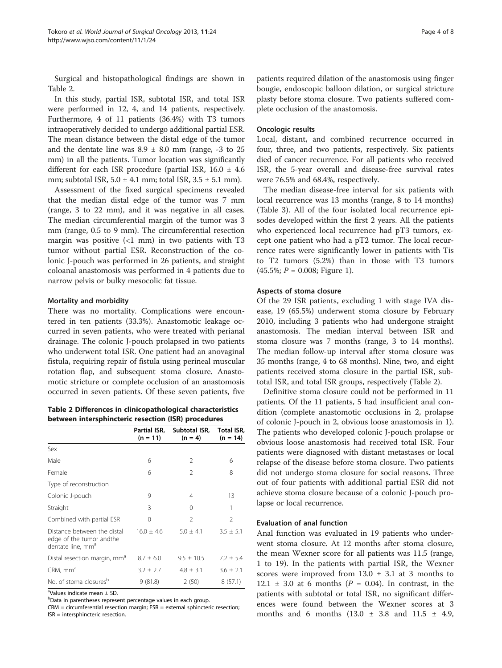Surgical and histopathological findings are shown in Table 2.

In this study, partial ISR, subtotal ISR, and total ISR were performed in 12, 4, and 14 patients, respectively. Furthermore, 4 of 11 patients (36.4%) with T3 tumors intraoperatively decided to undergo additional partial ESR. The mean distance between the distal edge of the tumor and the dentate line was  $8.9 \pm 8.0$  mm (range, -3 to 25 mm) in all the patients. Tumor location was significantly different for each ISR procedure (partial ISR,  $16.0 \pm 4.6$ mm; subtotal ISR,  $5.0 \pm 4.1$  mm; total ISR,  $3.5 \pm 5.1$  mm).

Assessment of the fixed surgical specimens revealed that the median distal edge of the tumor was 7 mm (range, 3 to 22 mm), and it was negative in all cases. The median circumferential margin of the tumor was 3 mm (range, 0.5 to 9 mm). The circumferential resection margin was positive  $(1 \text{ mm})$  in two patients with T3 tumor without partial ESR. Reconstruction of the colonic J-pouch was performed in 26 patients, and straight coloanal anastomosis was performed in 4 patients due to narrow pelvis or bulky mesocolic fat tissue.

### Mortality and morbidity

There was no mortality. Complications were encountered in ten patients (33.3%). Anastomotic leakage occurred in seven patients, who were treated with perianal drainage. The colonic J-pouch prolapsed in two patients who underwent total ISR. One patient had an anovaginal fistula, requiring repair of fistula using perineal muscular rotation flap, and subsequent stoma closure. Anastomotic stricture or complete occlusion of an anastomosis occurred in seven patients. Of these seven patients, five

Table 2 Differences in clinicopathological characteristics between intersphincteric resection (ISR) procedures

|                                                                                          | Partial ISR,<br>$(n = 11)$ | Subtotal ISR,<br>$(n = 4)$ | Total ISR,<br>$(n = 14)$ |
|------------------------------------------------------------------------------------------|----------------------------|----------------------------|--------------------------|
| Sex                                                                                      |                            |                            |                          |
| Male                                                                                     | 6                          | 2                          | 6                        |
| Female                                                                                   | 6                          | $\mathfrak{D}$             | 8                        |
| Type of reconstruction                                                                   |                            |                            |                          |
| Colonic J-pouch                                                                          | 9                          | 4                          | 13                       |
| Straight                                                                                 | 3                          | 0                          | 1                        |
| Combined with partial ESR                                                                | 0                          | $\mathfrak{D}$             | $\mathfrak{D}$           |
| Distance between the distal<br>edge of the tumor andthe<br>dentate line, mm <sup>a</sup> | $16.0 \pm 4.6$             | $5.0 + 4.1$                | $3.5 \pm 5.1$            |
| Distal resection margin, mm <sup>a</sup>                                                 | $8.7 \pm 6.0$              | $9.5 \pm 10.5$             | $7.2 \pm 5.4$            |
| CRM, mm <sup>a</sup>                                                                     | $3.2 \pm 2.7$              | $4.8 \pm 3.1$              | $3.6 \pm 2.1$            |
| No. of stoma closures <sup>b</sup>                                                       | 9(81.8)                    | 2(50)                      | 8(57.1)                  |

a Values indicate mean ± SD.

<sup>b</sup>Data in parentheses represent percentage values in each group.

 $CRM = circumferential resection margin; ESR = external sphincteric resection;$ ISR = intersphincteric resection.

patients required dilation of the anastomosis using finger bougie, endoscopic balloon dilation, or surgical stricture plasty before stoma closure. Two patients suffered complete occlusion of the anastomosis.

#### Oncologic results

Local, distant, and combined recurrence occurred in four, three, and two patients, respectively. Six patients died of cancer recurrence. For all patients who received ISR, the 5-year overall and disease-free survival rates were 76.5% and 68.4%, respectively.

The median disease-free interval for six patients with local recurrence was 13 months (range, 8 to 14 months) (Table [3](#page-4-0)). All of the four isolated local recurrence episodes developed within the first 2 years. All the patients who experienced local recurrence had pT3 tumors, except one patient who had a pT2 tumor. The local recurrence rates were significantly lower in patients with Tis to T2 tumors (5.2%) than in those with T3 tumors  $(45.5\%; P = 0.008; Figure 1).$  $(45.5\%; P = 0.008; Figure 1).$  $(45.5\%; P = 0.008; Figure 1).$ 

### Aspects of stoma closure

Of the 29 ISR patients, excluding 1 with stage IVA disease, 19 (65.5%) underwent stoma closure by February 2010, including 3 patients who had undergone straight anastomosis. The median interval between ISR and stoma closure was 7 months (range, 3 to 14 months). The median follow-up interval after stoma closure was 35 months (range, 4 to 68 months). Nine, two, and eight patients received stoma closure in the partial ISR, subtotal ISR, and total ISR groups, respectively (Table 2).

Definitive stoma closure could not be performed in 11 patients. Of the 11 patients, 5 had insufficient anal condition (complete anastomotic occlusions in 2, prolapse of colonic J-pouch in 2, obvious loose anastomosis in 1). The patients who developed colonic J-pouch prolapse or obvious loose anastomosis had received total ISR. Four patients were diagnosed with distant metastases or local relapse of the disease before stoma closure. Two patients did not undergo stoma closure for social reasons. Three out of four patients with additional partial ESR did not achieve stoma closure because of a colonic J-pouch prolapse or local recurrence.

#### Evaluation of anal function

Anal function was evaluated in 19 patients who underwent stoma closure. At 12 months after stoma closure, the mean Wexner score for all patients was 11.5 (range, 1 to 19). In the patients with partial ISR, the Wexner scores were improved from  $13.0 \pm 3.1$  at 3 months to 12.1  $\pm$  3.0 at 6 months (P = 0.04). In contrast, in the patients with subtotal or total ISR, no significant differences were found between the Wexner scores at 3 months and 6 months  $(13.0 \pm 3.8 \text{ and } 11.5 \pm 4.9,$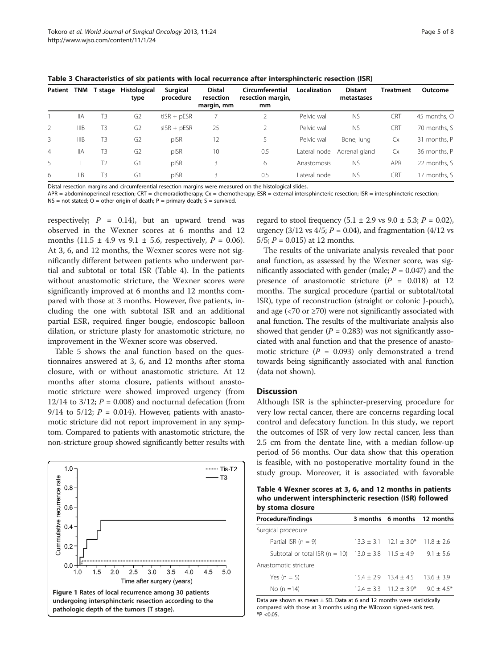<span id="page-4-0"></span>Table 3 Characteristics of six patients with local recurrence after intersphincteric resection (ISR)

| Patient        |            | TNM T stage | Histological<br>type | Surgical<br>procedure | <b>Distal</b><br>resection<br>margin, mm | Circumferential<br>resection margin,<br>mm | Localization | <b>Distant</b><br>metastases | Treatment  | Outcome      |
|----------------|------------|-------------|----------------------|-----------------------|------------------------------------------|--------------------------------------------|--------------|------------------------------|------------|--------------|
|                | <b>IIA</b> | T3          | G <sub>2</sub>       | $tISR + pESR$         |                                          | C.                                         | Pelvic wall  | <b>NS</b>                    | <b>CRT</b> | 45 months, O |
| $\overline{2}$ | IIIB       | T3          | G <sub>2</sub>       | $slSR + pESR$         | 25                                       |                                            | Pelvic wall  | <b>NS</b>                    | CRT        | 70 months, S |
| 3              | IIIB       | T3          | G <sub>2</sub>       | pISR                  | 12                                       | 5                                          | Pelvic wall  | Bone, lung                   | Cx         | 31 months, P |
| $\overline{4}$ | <b>IIA</b> | T3          | G <sub>2</sub>       | pISR                  | 10                                       | 0.5                                        |              | Lateral node Adrenal gland   | Cx         | 36 months, P |
| .5             |            | T2          | G1                   | pISR                  |                                          | 6                                          | Anastomosis  | <b>NS</b>                    | <b>APR</b> | 22 months, S |
| 6              | IIB        | T3          | G1                   | pISR                  |                                          | 0.5                                        | Lateral node | <b>NS</b>                    | CRT        | 17 months. S |

Distal resection margins and circumferential resection margins were measured on the histological slides.

APR = abdominoperineal resection; CRT = chemoradiotherapy; Cx = chemotherapy; ESR = external intersphincteric resection; ISR = intersphincteric resection;  $NS = not stated$ ;  $O = other origin of death$ ;  $P = primary death$ ;  $S = survived$ .

respectively;  $P = 0.14$ , but an upward trend was observed in the Wexner scores at 6 months and 12 months  $(11.5 \pm 4.9 \text{ vs } 9.1 \pm 5.6, \text{ respectively, } P = 0.06)$ . At 3, 6, and 12 months, the Wexner scores were not significantly different between patients who underwent partial and subtotal or total ISR (Table 4). In the patients without anastomotic stricture, the Wexner scores were significantly improved at 6 months and 12 months compared with those at 3 months. However, five patients, including the one with subtotal ISR and an additional partial ESR, required finger bougie, endoscopic balloon dilation, or stricture plasty for anastomotic stricture, no improvement in the Wexner score was observed.

Table [5](#page-5-0) shows the anal function based on the questionnaires answered at 3, 6, and 12 months after stoma closure, with or without anastomotic stricture. At 12 months after stoma closure, patients without anastomotic stricture were showed improved urgency (from 12/14 to 3/12;  $P = 0.008$ ) and nocturnal defecation (from 9/14 to 5/12;  $P = 0.014$ ). However, patients with anastomotic stricture did not report improvement in any symptom. Compared to patients with anastomotic stricture, the non-stricture group showed significantly better results with



regard to stool frequency  $(5.1 \pm 2.9 \text{ vs } 9.0 \pm 5.3; P = 0.02)$ , urgency  $(3/12 \text{ vs } 4/5; P = 0.04)$ , and fragmentation  $(4/12 \text{ vs } 4/5; P = 0.04)$ 5/5;  $P = 0.015$  at 12 months.

The results of the univariate analysis revealed that poor anal function, as assessed by the Wexner score, was significantly associated with gender (male;  $P = 0.047$ ) and the presence of anastomotic stricture  $(P = 0.018)$  at 12 months. The surgical procedure (partial or subtotal/total ISR), type of reconstruction (straight or colonic J-pouch), and age ( $\langle 70$  or  $\geq 70$ ) were not significantly associated with anal function. The results of the multivariate analysis also showed that gender ( $P = 0.283$ ) was not significantly associated with anal function and that the presence of anastomotic stricture ( $P = 0.093$ ) only demonstrated a trend towards being significantly associated with anal function (data not shown).

### **Discussion**

Although ISR is the sphincter-preserving procedure for very low rectal cancer, there are concerns regarding local control and defecatory function. In this study, we report the outcomes of ISR of very low rectal cancer, less than 2.5 cm from the dentate line, with a median follow-up period of 56 months. Our data show that this operation is feasible, with no postoperative mortality found in the study group. Moreover, it is associated with favorable

Table 4 Wexner scores at 3, 6, and 12 months in patients who underwent intersphincteric resection (ISR) followed by stoma closure

| Procedure/findings                                           | 3 months 6 months 12 months             |               |  |
|--------------------------------------------------------------|-----------------------------------------|---------------|--|
| Surgical procedure                                           |                                         |               |  |
| Partial ISR $(n = 9)$                                        | $13.3 + 3.1$ $12.1 + 3.0*$ $11.8 + 2.6$ |               |  |
| Subtotal or total ISR (n = 10) $13.0 \pm 3.8$ 11.5 $\pm$ 4.9 |                                         | $9.1 \pm 5.6$ |  |
| Anastomotic stricture                                        |                                         |               |  |
| Yes $(n = 5)$                                                | $15.4 + 2.9$ $13.4 + 4.5$               | $13.6 + 3.9$  |  |
| No $(n = 14)$                                                | $12.4 + 3.3$ $11.2 + 3.9*$              | $9.0 + 4.5*$  |  |

Data are shown as mean  $\pm$  SD. Data at 6 and 12 months were statistically compared with those at 3 months using the Wilcoxon signed-rank test.  $*P < 0.05$ .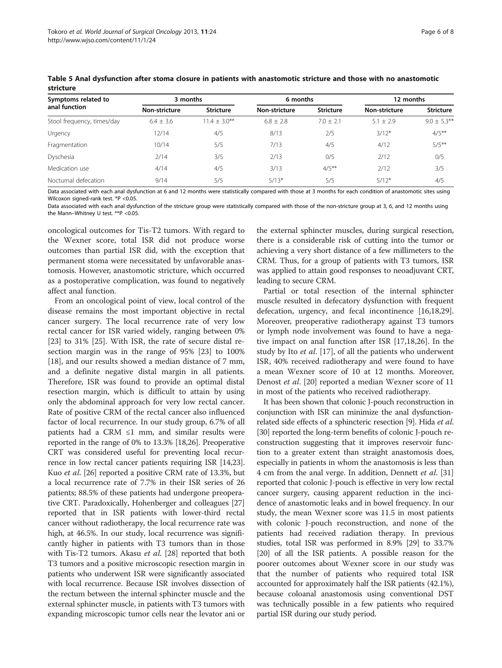| Symptoms related to        | 3 months      |                  | 6 months      |                  | 12 months     |                  |
|----------------------------|---------------|------------------|---------------|------------------|---------------|------------------|
| anal function              | Non-stricture | <b>Stricture</b> | Non-stricture | <b>Stricture</b> | Non-stricture | <b>Stricture</b> |
| Stool frequency, times/day | $6.4 \pm 3.6$ | $11.4 + 3.0***$  | $6.8 + 2.8$   | $7.0 + 2.1$      | $5.1 + 2.9$   | $9.0 + 5.3***$   |
| Urgency                    | 12/14         | 4/5              | 8/13          | 2/5              | $3/12*$       | $4/5**$          |
| Fragmentation              | 10/14         | 5/5              | 7/13          | 4/5              | 4/12          | $5/5**$          |
| Dyschesia                  | 2/14          | 3/5              | 2/13          | 0/5              | 2/12          | 0/5              |
| Medication use             | 4/14          | 4/5              | 3/13          | $4/5***$         | 2/12          | 3/5              |
| Nocturnal defecation       | 9/14          | 5/5              | $5/13*$       | 5/5              | $5/12*$       | 4/5              |

<span id="page-5-0"></span>Table 5 Anal dysfunction after stoma closure in patients with anastomotic stricture and those with no anastomotic stricture

Data associated with each anal dysfunction at 6 and 12 months were statistically compared with those at 3 months for each condition of anastomotic sites using Wilcoxon signed-rank test. \*P <0.05.

Data associated with each anal dysfunction of the stricture group were statistically compared with those of the non-stricture group at 3, 6, and 12 months using the Mann–Whitney U test. \*\*P <0.05.

oncological outcomes for Tis-T2 tumors. With regard to the Wexner score, total ISR did not produce worse outcomes than partial ISR did, with the exception that permanent stoma were necessitated by unfavorable anastomosis. However, anastomotic stricture, which occurred as a postoperative complication, was found to negatively affect anal function.

From an oncological point of view, local control of the disease remains the most important objective in rectal cancer surgery. The local recurrence rate of very low rectal cancer for ISR varied widely, ranging between 0% [[23\]](#page-7-0) to 31% [\[25\]](#page-7-0). With ISR, the rate of secure distal resection margin was in the range of 95% [\[23](#page-7-0)] to 100% [[18\]](#page-7-0), and our results showed a median distance of 7 mm, and a definite negative distal margin in all patients. Therefore, ISR was found to provide an optimal distal resection margin, which is difficult to attain by using only the abdominal approach for very low rectal cancer. Rate of positive CRM of the rectal cancer also influenced factor of local recurrence. In our study group, 6.7% of all patients had a CRM ≤1 mm, and similar results were reported in the range of 0% to 13.3% [\[18,26](#page-7-0)]. Preoperative CRT was considered useful for preventing local recurrence in low rectal cancer patients requiring ISR [\[14,23](#page-7-0)]. Kuo et al. [\[26\]](#page-7-0) reported a positive CRM rate of 13.3%, but a local recurrence rate of 7.7% in their ISR series of 26 patients; 88.5% of these patients had undergone preoperative CRT. Paradoxically, Hohenberger and colleagues [[27](#page-7-0)] reported that in ISR patients with lower-third rectal cancer without radiotherapy, the local recurrence rate was high, at 46.5%. In our study, local recurrence was significantly higher in patients with T3 tumors than in those with Tis-T2 tumors. Akasu *et al.* [[28](#page-7-0)] reported that both T3 tumors and a positive microscopic resection margin in patients who underwent ISR were significantly associated with local recurrence. Because ISR involves dissection of the rectum between the internal sphincter muscle and the external sphincter muscle, in patients with T3 tumors with expanding microscopic tumor cells near the levator ani or

the external sphincter muscles, during surgical resection, there is a considerable risk of cutting into the tumor or achieving a very short distance of a few millimeters to the CRM. Thus, for a group of patients with T3 tumors, ISR was applied to attain good responses to neoadjuvant CRT, leading to secure CRM.

Partial or total resection of the internal sphincter muscle resulted in defecatory dysfunction with frequent defecation, urgency, and fecal incontinence [[16,18,29](#page-7-0)]. Moreover, preoperative radiotherapy against T3 tumors or lymph node involvement was found to have a negative impact on anal function after ISR [[17](#page-7-0),[18,26](#page-7-0)]. In the study by Ito *et al.* [[17](#page-7-0)], of all the patients who underwent ISR, 40% received radiotherapy and were found to have a mean Wexner score of 10 at 12 months. Moreover, Denost et al. [\[20](#page-7-0)] reported a median Wexner score of 11 in most of the patients who received radiotherapy.

It has been shown that colonic J-pouch reconstruction in conjunction with ISR can minimize the anal dysfunction-related side effects of a sphincteric resection [[9](#page-6-0)]. Hida et al. [[30](#page-7-0)] reported the long-term benefits of colonic J-pouch reconstruction suggesting that it improves reservoir function to a greater extent than straight anastomosis does, especially in patients in whom the anastomosis is less than 4 cm from the anal verge. In addition, Dennett et al. [[31](#page-7-0)] reported that colonic J-pouch is effective in very low rectal cancer surgery, causing apparent reduction in the incidence of anastomotic leaks and in bowel frequency. In our study, the mean Wexner score was 11.5 in most patients with colonic J-pouch reconstruction, and none of the patients had received radiation therapy. In previous studies, total ISR was performed in 8.9% [\[29\]](#page-7-0) to 33.7% [[20](#page-7-0)] of all the ISR patients. A possible reason for the poorer outcomes about Wexner score in our study was that the number of patients who required total ISR accounted for approximately half the ISR patients (42.1%), because coloanal anastomosis using conventional DST was technically possible in a few patients who required partial ISR during our study period.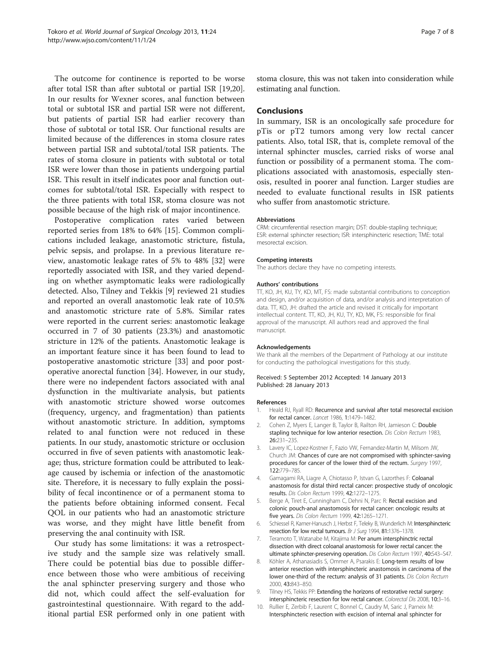<span id="page-6-0"></span>The outcome for continence is reported to be worse after total ISR than after subtotal or partial ISR [\[19,20](#page-7-0)]. In our results for Wexner scores, anal function between total or subtotal ISR and partial ISR were not different, but patients of partial ISR had earlier recovery than those of subtotal or total ISR. Our functional results are limited because of the differences in stoma closure rates between partial ISR and subtotal/total ISR patients. The rates of stoma closure in patients with subtotal or total ISR were lower than those in patients undergoing partial ISR. This result in itself indicates poor anal function outcomes for subtotal/total ISR. Especially with respect to the three patients with total ISR, stoma closure was not possible because of the high risk of major incontinence.

Postoperative complication rates varied between reported series from 18% to 64% [[15](#page-7-0)]. Common complications included leakage, anastomotic stricture, fistula, pelvic sepsis, and prolapse. In a previous literature review, anastomotic leakage rates of 5% to 48% [\[32](#page-7-0)] were reportedly associated with ISR, and they varied depending on whether asymptomatic leaks were radiologically detected. Also, Tilney and Tekkis [9] reviewed 21 studies and reported an overall anastomotic leak rate of 10.5% and anastomotic stricture rate of 5.8%. Similar rates were reported in the current series: anastomotic leakage occurred in 7 of 30 patients (23.3%) and anastomotic stricture in 12% of the patients. Anastomotic leakage is an important feature since it has been found to lead to postoperative anastomotic stricture [[33](#page-7-0)] and poor postoperative anorectal function [[34](#page-7-0)]. However, in our study, there were no independent factors associated with anal dysfunction in the multivariate analysis, but patients with anastomotic stricture showed worse outcomes (frequency, urgency, and fragmentation) than patients without anastomotic stricture. In addition, symptoms related to anal function were not reduced in these patients. In our study, anastomotic stricture or occlusion occurred in five of seven patients with anastomotic leakage; thus, stricture formation could be attributed to leakage caused by ischemia or infection of the anastomotic site. Therefore, it is necessary to fully explain the possibility of fecal incontinence or of a permanent stoma to the patients before obtaining informed consent. Fecal QOL in our patients who had an anastomotic stricture was worse, and they might have little benefit from preserving the anal continuity with ISR.

Our study has some limitations: it was a retrospective study and the sample size was relatively small. There could be potential bias due to possible difference between those who were ambitious of receiving the anal sphincter preserving surgery and those who did not, which could affect the self-evaluation for gastrointestinal questionnaire. With regard to the additional partial ESR performed only in one patient with stoma closure, this was not taken into consideration while estimating anal function.

#### Conclusions

In summary, ISR is an oncologically safe procedure for pTis or pT2 tumors among very low rectal cancer patients. Also, total ISR, that is, complete removal of the internal sphincter muscles, carried risks of worse anal function or possibility of a permanent stoma. The complications associated with anastomosis, especially stenosis, resulted in poorer anal function. Larger studies are needed to evaluate functional results in ISR patients who suffer from anastomotic stricture.

#### Abbreviations

CRM: circumferential resection margin; DST: double-stapling technique; ESR: external sphincter resection; ISR: intersphincteric resection; TME: total mesorectal excision.

#### Competing interests

The authors declare they have no competing interests.

#### Authors' contributions

TT, KO, JH, KU, TY, KD, MT, FS: made substantial contributions to conception and design, and/or acquisition of data, and/or analysis and interpretation of data. TT, KO, JH: drafted the article and revised it critically for important intellectual content. TT, KO, JH, KU, TY, KD, MK, FS: responsible for final approval of the manuscript. All authors read and approved the final manuscript.

#### Acknowledgements

We thank all the members of the Department of Pathology at our institute for conducting the pathological investigations for this study.

#### Received: 5 September 2012 Accepted: 14 January 2013 Published: 28 January 2013

#### References

- 1. Heald RJ, Ryall RD: Recurrence and survival after total mesorectal excision for rectal cancer. Lancet 1986, 1:1479–1482.
- 2. Cohen Z, Myers E, Langer B, Taylor B, Railton RH, Jamieson C: Double stapling technique for low anterior resection. Dis Colon Rectum 1983, 26:231–235.
- 3. Lavery IC, Lopez-Kostner F, Fazio VW, Fernandez-Martin M, Milsom JW, Church JM: Chances of cure are not compromised with sphincter-saving procedures for cancer of the lower third of the rectum. Surgery 1997, 122:779–785.
- 4. Gamagami RA, Liagre A, Chiotasso P, Istvan G, Lazorthes F: Coloanal anastomosis for distal third rectal cancer: prospective study of oncologic results. Dis Colon Rectum 1999, 42:1272–1275.
- 5. Berge A, Tiret E, Cunningham C, Dehni N, Parc R: Rectal excision and colonic pouch-anal anastomosis for rectal cancer: oncologic results at five years. Dis Colon Rectum 1999, 42:1265–1271.
- 6. Schiessel R, Kamer-Hanusch J, Herbst F, Teleky B, Wunderlich M: Intersphincteric resection for low rectal tumours. Br J Surg 1994, 81:1376–1378.
- 7. Teramoto T, Watanabe M, Kitajima M: Per anum intersphinctric rectal dissection with direct coloanal anastomosis for lower rectal cancer: the ultimate sphincter-preserving operation. Dis Colon Rectum 1997, 40:S43–S47.
- 8. Köhler A, Athanasiadis S, Ommer A, Psarakis E: Long-term results of low anterior resection with intersphincteric anastomosis in carcinoma of the lower one-third of the rectum: analysis of 31 patients. Dis Colon Rectum 2000, 43:843–850.
- 9. Tilney HS, Tekkis PP: Extending the horizons of restorative rectal surgery: intersphincteric resection for low rectal cancer. Colorectal Dis 2008, 10:3–16.
- 10. Rullier E, Zerbib F, Laurent C, Bonnel C, Caudry M, Saric J, Parneix M: Intersphincteric resection with excision of internal anal sphincter for